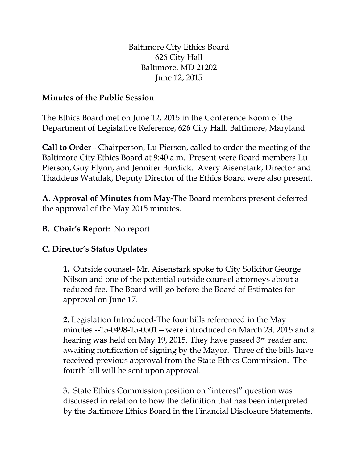Baltimore City Ethics Board 626 City Hall Baltimore, MD 21202 June 12, 2015

## **Minutes of the Public Session**

The Ethics Board met on June 12, 2015 in the Conference Room of the Department of Legislative Reference, 626 City Hall, Baltimore, Maryland.

**Call to Order -** Chairperson, Lu Pierson, called to order the meeting of the Baltimore City Ethics Board at 9:40 a.m. Present were Board members Lu Pierson, Guy Flynn, and Jennifer Burdick. Avery Aisenstark, Director and Thaddeus Watulak, Deputy Director of the Ethics Board were also present.

**A. Approval of Minutes from May-**The Board members present deferred the approval of the May 2015 minutes.

**B. Chair's Report:** No report.

## **C. Director's Status Updates**

**1.** Outside counsel- Mr. Aisenstark spoke to City Solicitor George Nilson and one of the potential outside counsel attorneys about a reduced fee. The Board will go before the Board of Estimates for approval on June 17.

**2.** Legislation Introduced-The four bills referenced in the May minutes --15-0498-15-0501—were introduced on March 23, 2015 and a hearing was held on May 19, 2015. They have passed 3rd reader and awaiting notification of signing by the Mayor. Three of the bills have received previous approval from the State Ethics Commission. The fourth bill will be sent upon approval.

3. State Ethics Commission position on "interest" question was discussed in relation to how the definition that has been interpreted by the Baltimore Ethics Board in the Financial Disclosure Statements.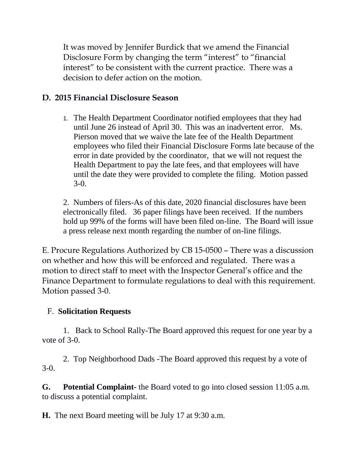It was moved by Jennifer Burdick that we amend the Financial Disclosure Form by changing the term "interest" to "financial interest" to be consistent with the current practice. There was a decision to defer action on the motion.

## **D. 2015 Financial Disclosure Season**

1. The Health Department Coordinator notified employees that they had until June 26 instead of April 30. This was an inadvertent error. Ms. Pierson moved that we waive the late fee of the Health Department employees who filed their Financial Disclosure Forms late because of the error in date provided by the coordinator, that we will not request the Health Department to pay the late fees, and that employees will have until the date they were provided to complete the filing. Motion passed 3-0.

2. Numbers of filers-As of this date, 2020 financial disclosures have been electronically filed. 36 paper filings have been received. If the numbers hold up 99% of the forms will have been filed on-line. The Board will issue a press release next month regarding the number of on-line filings.

E. Procure Regulations Authorized by CB 15-0500 – There was a discussion on whether and how this will be enforced and regulated. There was a motion to direct staff to meet with the Inspector General's office and the Finance Department to formulate regulations to deal with this requirement. Motion passed 3-0.

## F. **Solicitation Requests**

1. Back to School Rally-The Board approved this request for one year by a vote of 3-0.

2. Top Neighborhood Dads -The Board approved this request by a vote of 3-0.

**G. Potential Complaint-** the Board voted to go into closed session 11:05 a.m. to discuss a potential complaint.

**H.** The next Board meeting will be July 17 at 9:30 a.m.